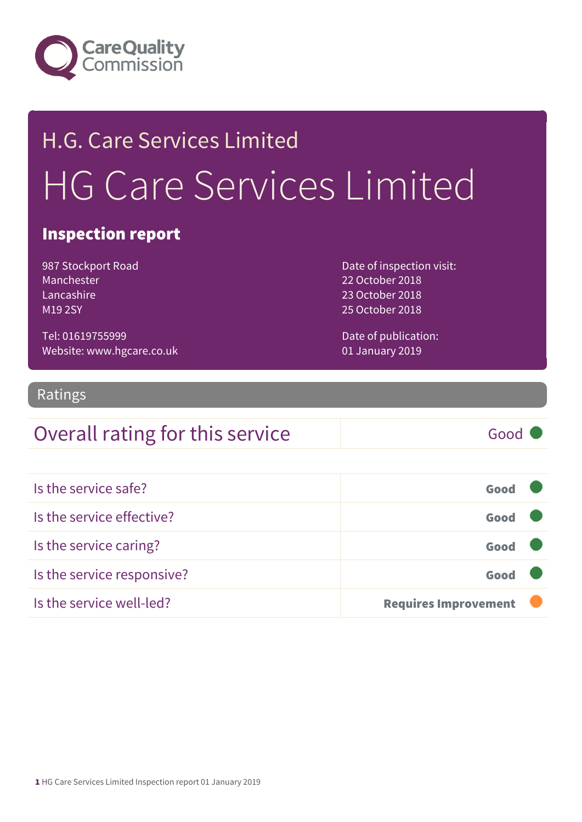

# H.G. Care Services Limited HG Care Services Limited

#### Inspection report

987 Stockport Road Manchester Lancashire M19 2SY

Date of inspection visit: 22 October 2018 23 October 2018 25 October 2018

Tel: 01619755999 Website: www.hgcare.co.uk Date of publication: 01 January 2019

#### Ratings

#### Overall rating for this service Good

| Is the service safe?       | Good                        |  |
|----------------------------|-----------------------------|--|
| Is the service effective?  | Good                        |  |
| Is the service caring?     | Good                        |  |
| Is the service responsive? | Good                        |  |
| Is the service well-led?   | <b>Requires Improvement</b> |  |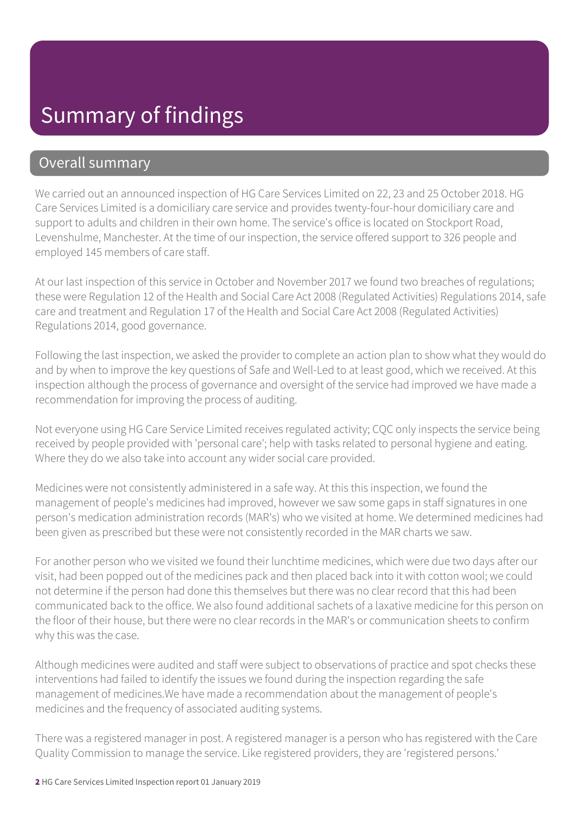### Summary of findings

#### Overall summary

We carried out an announced inspection of HG Care Services Limited on 22, 23 and 25 October 2018. HG Care Services Limited is a domiciliary care service and provides twenty-four-hour domiciliary care and support to adults and children in their own home. The service's office is located on Stockport Road, Levenshulme, Manchester. At the time of our inspection, the service offered support to 326 people and employed 145 members of care staff.

At our last inspection of this service in October and November 2017 we found two breaches of regulations; these were Regulation 12 of the Health and Social Care Act 2008 (Regulated Activities) Regulations 2014, safe care and treatment and Regulation 17 of the Health and Social Care Act 2008 (Regulated Activities) Regulations 2014, good governance.

Following the last inspection, we asked the provider to complete an action plan to show what they would do and by when to improve the key questions of Safe and Well-Led to at least good, which we received. At this inspection although the process of governance and oversight of the service had improved we have made a recommendation for improving the process of auditing.

Not everyone using HG Care Service Limited receives regulated activity; CQC only inspects the service being received by people provided with 'personal care'; help with tasks related to personal hygiene and eating. Where they do we also take into account any wider social care provided.

Medicines were not consistently administered in a safe way. At this this inspection, we found the management of people's medicines had improved, however we saw some gaps in staff signatures in one person's medication administration records (MAR's) who we visited at home. We determined medicines had been given as prescribed but these were not consistently recorded in the MAR charts we saw.

For another person who we visited we found their lunchtime medicines, which were due two days after our visit, had been popped out of the medicines pack and then placed back into it with cotton wool; we could not determine if the person had done this themselves but there was no clear record that this had been communicated back to the office. We also found additional sachets of a laxative medicine for this person on the floor of their house, but there were no clear records in the MAR's or communication sheets to confirm why this was the case.

Although medicines were audited and staff were subject to observations of practice and spot checks these interventions had failed to identify the issues we found during the inspection regarding the safe management of medicines.We have made a recommendation about the management of people's medicines and the frequency of associated auditing systems.

There was a registered manager in post. A registered manager is a person who has registered with the Care Quality Commission to manage the service. Like registered providers, they are 'registered persons.'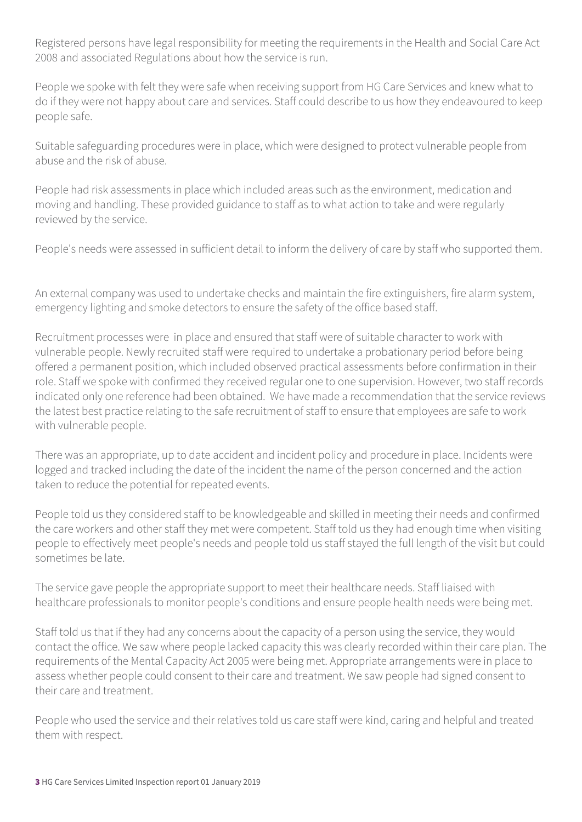Registered persons have legal responsibility for meeting the requirements in the Health and Social Care Act 2008 and associated Regulations about how the service is run.

People we spoke with felt they were safe when receiving support from HG Care Services and knew what to do if they were not happy about care and services. Staff could describe to us how they endeavoured to keep people safe.

Suitable safeguarding procedures were in place, which were designed to protect vulnerable people from abuse and the risk of abuse.

People had risk assessments in place which included areas such as the environment, medication and moving and handling. These provided guidance to staff as to what action to take and were regularly reviewed by the service.

People's needs were assessed in sufficient detail to inform the delivery of care by staff who supported them.

An external company was used to undertake checks and maintain the fire extinguishers, fire alarm system, emergency lighting and smoke detectors to ensure the safety of the office based staff.

Recruitment processes were in place and ensured that staff were of suitable character to work with vulnerable people. Newly recruited staff were required to undertake a probationary period before being offered a permanent position, which included observed practical assessments before confirmation in their role. Staff we spoke with confirmed they received regular one to one supervision. However, two staff records indicated only one reference had been obtained. We have made a recommendation that the service reviews the latest best practice relating to the safe recruitment of staff to ensure that employees are safe to work with vulnerable people.

There was an appropriate, up to date accident and incident policy and procedure in place. Incidents were logged and tracked including the date of the incident the name of the person concerned and the action taken to reduce the potential for repeated events.

People told us they considered staff to be knowledgeable and skilled in meeting their needs and confirmed the care workers and other staff they met were competent. Staff told us they had enough time when visiting people to effectively meet people's needs and people told us staff stayed the full length of the visit but could sometimes be late.

The service gave people the appropriate support to meet their healthcare needs. Staff liaised with healthcare professionals to monitor people's conditions and ensure people health needs were being met.

Staff told us that if they had any concerns about the capacity of a person using the service, they would contact the office. We saw where people lacked capacity this was clearly recorded within their care plan. The requirements of the Mental Capacity Act 2005 were being met. Appropriate arrangements were in place to assess whether people could consent to their care and treatment. We saw people had signed consent to their care and treatment.

People who used the service and their relatives told us care staff were kind, caring and helpful and treated them with respect.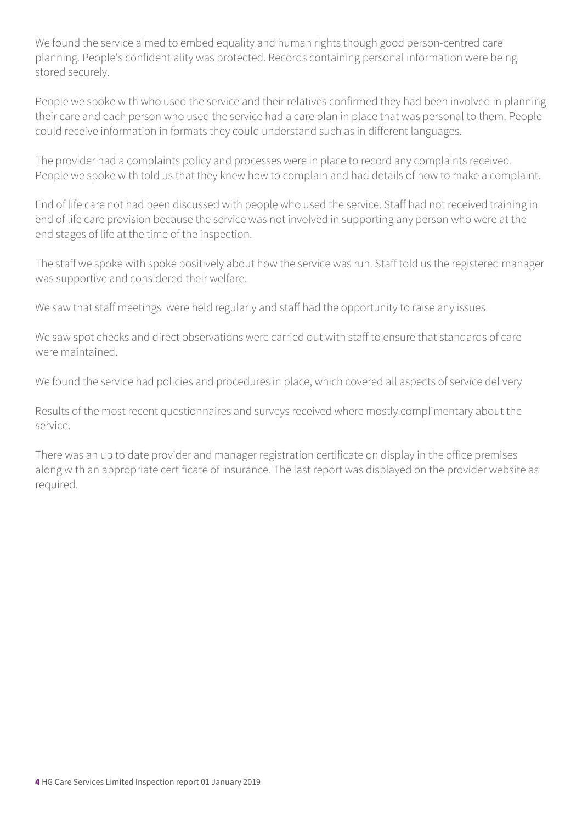We found the service aimed to embed equality and human rights though good person-centred care planning. People's confidentiality was protected. Records containing personal information were being stored securely.

People we spoke with who used the service and their relatives confirmed they had been involved in planning their care and each person who used the service had a care plan in place that was personal to them. People could receive information in formats they could understand such as in different languages.

The provider had a complaints policy and processes were in place to record any complaints received. People we spoke with told us that they knew how to complain and had details of how to make a complaint.

End of life care not had been discussed with people who used the service. Staff had not received training in end of life care provision because the service was not involved in supporting any person who were at the end stages of life at the time of the inspection.

The staff we spoke with spoke positively about how the service was run. Staff told us the registered manager was supportive and considered their welfare.

We saw that staff meetings were held regularly and staff had the opportunity to raise any issues.

We saw spot checks and direct observations were carried out with staff to ensure that standards of care were maintained.

We found the service had policies and procedures in place, which covered all aspects of service delivery

Results of the most recent questionnaires and surveys received where mostly complimentary about the service.

There was an up to date provider and manager registration certificate on display in the office premises along with an appropriate certificate of insurance. The last report was displayed on the provider website as required.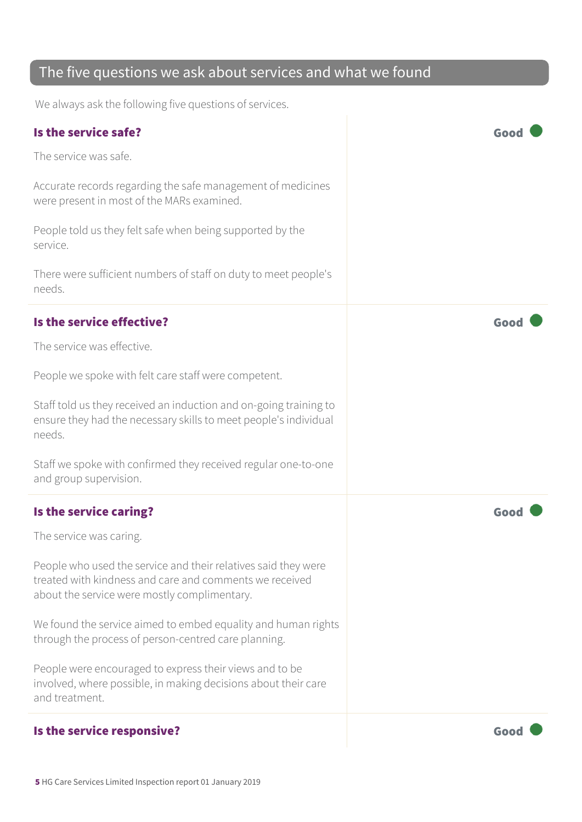#### The five questions we ask about services and what we found

We always ask the following five questions of services.

| Is the service safe?                                                                                                                                                      | Goo  |
|---------------------------------------------------------------------------------------------------------------------------------------------------------------------------|------|
| The service was safe.                                                                                                                                                     |      |
| Accurate records regarding the safe management of medicines<br>were present in most of the MARs examined.                                                                 |      |
| People told us they felt safe when being supported by the<br>service.                                                                                                     |      |
| There were sufficient numbers of staff on duty to meet people's<br>needs.                                                                                                 |      |
| Is the service effective?                                                                                                                                                 | Good |
| The service was effective.                                                                                                                                                |      |
| People we spoke with felt care staff were competent.                                                                                                                      |      |
| Staff told us they received an induction and on-going training to<br>ensure they had the necessary skills to meet people's individual<br>needs.                           |      |
| Staff we spoke with confirmed they received regular one-to-one<br>and group supervision.                                                                                  |      |
| Is the service caring?                                                                                                                                                    | Goo  |
| The service was caring.                                                                                                                                                   |      |
| People who used the service and their relatives said they were<br>treated with kindness and care and comments we received<br>about the service were mostly complimentary. |      |
| We found the service aimed to embed equality and human rights<br>through the process of person-centred care planning.                                                     |      |
| People were encouraged to express their views and to be<br>involved, where possible, in making decisions about their care<br>and treatment.                               |      |
| Is the service responsive?                                                                                                                                                | Good |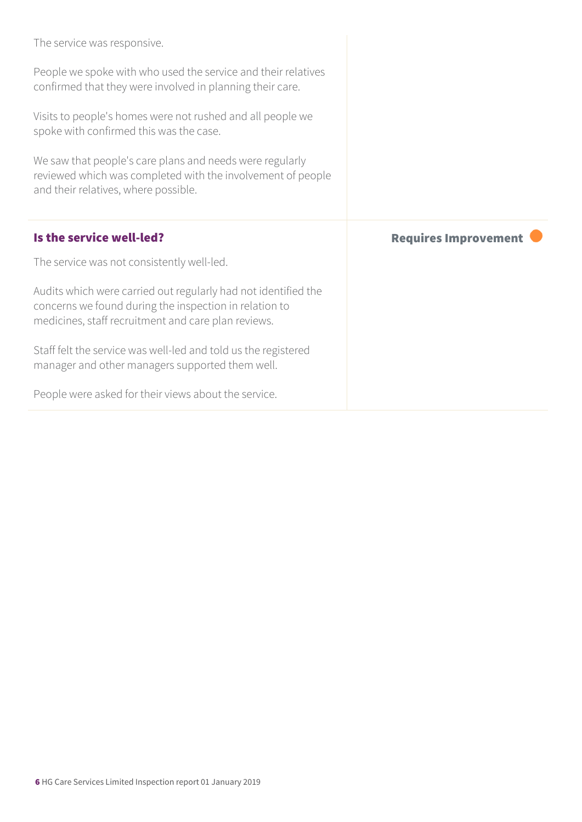| The service was responsive.                                                                                                                                                     |                             |
|---------------------------------------------------------------------------------------------------------------------------------------------------------------------------------|-----------------------------|
| People we spoke with who used the service and their relatives<br>confirmed that they were involved in planning their care.                                                      |                             |
| Visits to people's homes were not rushed and all people we<br>spoke with confirmed this was the case.                                                                           |                             |
| We saw that people's care plans and needs were regularly<br>reviewed which was completed with the involvement of people<br>and their relatives, where possible.                 |                             |
|                                                                                                                                                                                 |                             |
| Is the service well-led?                                                                                                                                                        | <b>Requires Improvement</b> |
| The service was not consistently well-led.                                                                                                                                      |                             |
| Audits which were carried out regularly had not identified the<br>concerns we found during the inspection in relation to<br>medicines, staff recruitment and care plan reviews. |                             |
| Staff felt the service was well-led and told us the registered<br>manager and other managers supported them well.                                                               |                             |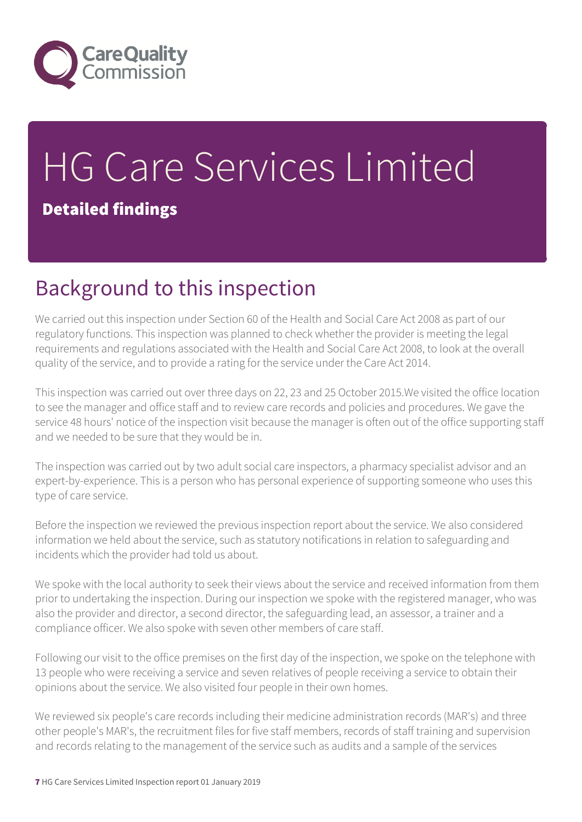

# HG Care Services Limited Detailed findings

# Background to this inspection

We carried out this inspection under Section 60 of the Health and Social Care Act 2008 as part of our regulatory functions. This inspection was planned to check whether the provider is meeting the legal requirements and regulations associated with the Health and Social Care Act 2008, to look at the overall quality of the service, and to provide a rating for the service under the Care Act 2014.

This inspection was carried out over three days on 22, 23 and 25 October 2015.We visited the office location to see the manager and office staff and to review care records and policies and procedures. We gave the service 48 hours' notice of the inspection visit because the manager is often out of the office supporting staff and we needed to be sure that they would be in.

The inspection was carried out by two adult social care inspectors, a pharmacy specialist advisor and an expert-by-experience. This is a person who has personal experience of supporting someone who uses this type of care service.

Before the inspection we reviewed the previous inspection report about the service. We also considered information we held about the service, such as statutory notifications in relation to safeguarding and incidents which the provider had told us about.

We spoke with the local authority to seek their views about the service and received information from them prior to undertaking the inspection. During our inspection we spoke with the registered manager, who was also the provider and director, a second director, the safeguarding lead, an assessor, a trainer and a compliance officer. We also spoke with seven other members of care staff.

Following our visit to the office premises on the first day of the inspection, we spoke on the telephone with 13 people who were receiving a service and seven relatives of people receiving a service to obtain their opinions about the service. We also visited four people in their own homes.

We reviewed six people's care records including their medicine administration records (MAR's) and three other people's MAR's, the recruitment files for five staff members, records of staff training and supervision and records relating to the management of the service such as audits and a sample of the services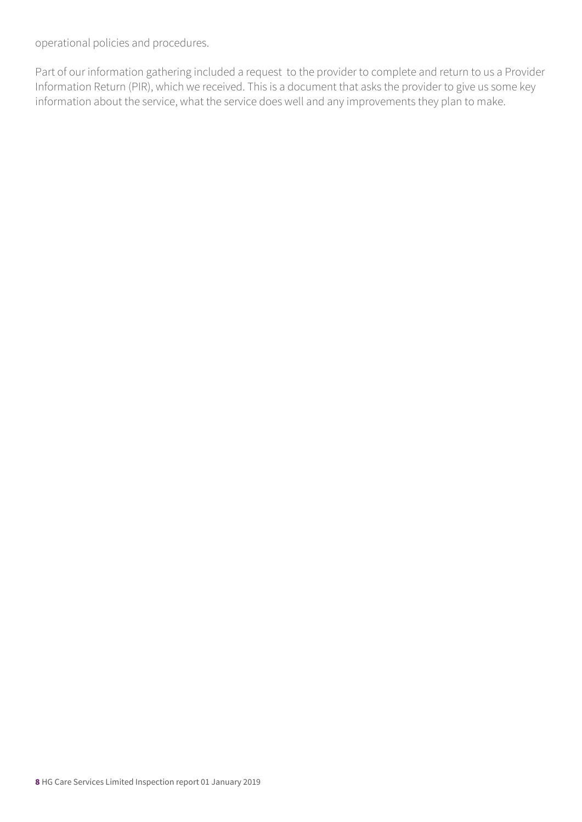operational policies and procedures.

Part of our information gathering included a request to the provider to complete and return to us a Provider Information Return (PIR), which we received. This is a document that asks the provider to give us some key information about the service, what the service does well and any improvements they plan to make.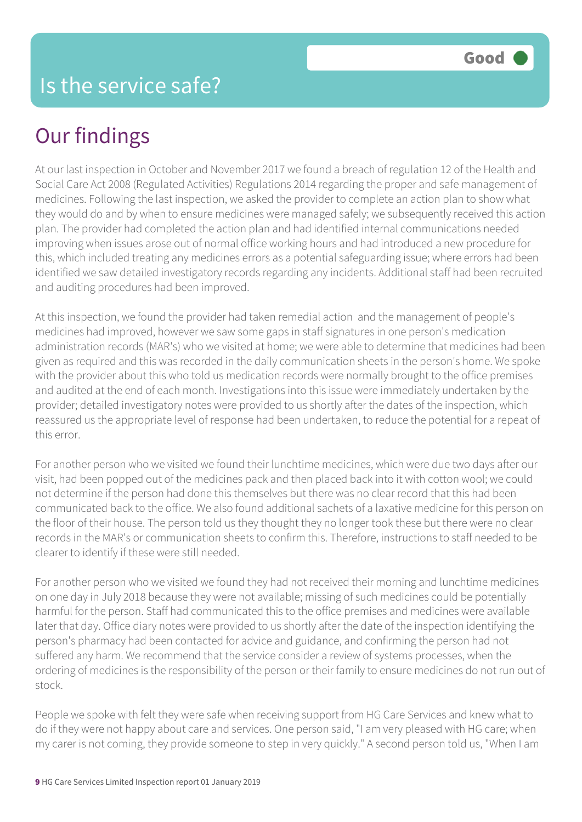# Our findings

At our last inspection in October and November 2017 we found a breach of regulation 12 of the Health and Social Care Act 2008 (Regulated Activities) Regulations 2014 regarding the proper and safe management of medicines. Following the last inspection, we asked the provider to complete an action plan to show what they would do and by when to ensure medicines were managed safely; we subsequently received this action plan. The provider had completed the action plan and had identified internal communications needed improving when issues arose out of normal office working hours and had introduced a new procedure for this, which included treating any medicines errors as a potential safeguarding issue; where errors had been identified we saw detailed investigatory records regarding any incidents. Additional staff had been recruited and auditing procedures had been improved.

At this inspection, we found the provider had taken remedial action and the management of people's medicines had improved, however we saw some gaps in staff signatures in one person's medication administration records (MAR's) who we visited at home; we were able to determine that medicines had been given as required and this was recorded in the daily communication sheets in the person's home. We spoke with the provider about this who told us medication records were normally brought to the office premises and audited at the end of each month. Investigations into this issue were immediately undertaken by the provider; detailed investigatory notes were provided to us shortly after the dates of the inspection, which reassured us the appropriate level of response had been undertaken, to reduce the potential for a repeat of this error.

For another person who we visited we found their lunchtime medicines, which were due two days after our visit, had been popped out of the medicines pack and then placed back into it with cotton wool; we could not determine if the person had done this themselves but there was no clear record that this had been communicated back to the office. We also found additional sachets of a laxative medicine for this person on the floor of their house. The person told us they thought they no longer took these but there were no clear records in the MAR's or communication sheets to confirm this. Therefore, instructions to staff needed to be clearer to identify if these were still needed.

For another person who we visited we found they had not received their morning and lunchtime medicines on one day in July 2018 because they were not available; missing of such medicines could be potentially harmful for the person. Staff had communicated this to the office premises and medicines were available later that day. Office diary notes were provided to us shortly after the date of the inspection identifying the person's pharmacy had been contacted for advice and guidance, and confirming the person had not suffered any harm. We recommend that the service consider a review of systems processes, when the ordering of medicines is the responsibility of the person or their family to ensure medicines do not run out of stock.

People we spoke with felt they were safe when receiving support from HG Care Services and knew what to do if they were not happy about care and services. One person said, "I am very pleased with HG care; when my carer is not coming, they provide someone to step in very quickly." A second person told us, "When I am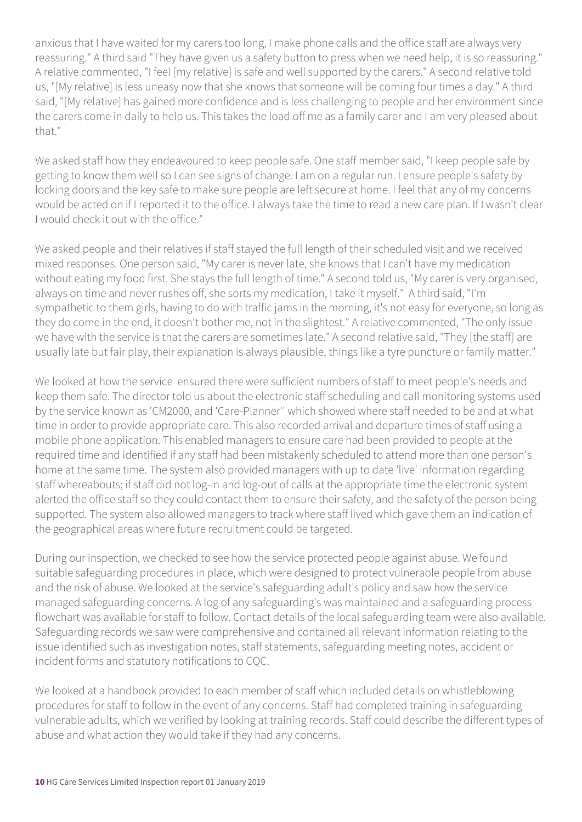anxious that I have waited for my carers too long, I make phone calls and the office staff are always very reassuring." A third said "They have given us a safety button to press when we need help, it is so reassuring." A relative commented, "I feel [my relative] is safe and well supported by the carers." A second relative told us, "[My relative] is less uneasy now that she knows that someone will be coming four times a day." A third said, "[My relative] has gained more confidence and is less challenging to people and her environment since the carers come in daily to help us. This takes the load off me as a family carer and I am very pleased about that."

We asked staff how they endeavoured to keep people safe. One staff member said, "I keep people safe by getting to know them well so I can see signs of change. I am on a regular run. I ensure people's safety by locking doors and the key safe to make sure people are left secure at home. I feel that any of my concerns would be acted on if I reported it to the office. I always take the time to read a new care plan. If I wasn't clear I would check it out with the office."

We asked people and their relatives if staff stayed the full length of their scheduled visit and we received mixed responses. One person said, "My carer is never late, she knows that I can't have my medication without eating my food first. She stays the full length of time." A second told us, "My carer is very organised, always on time and never rushes off, she sorts my medication, I take it myself." A third said, "I'm sympathetic to them girls, having to do with traffic jams in the morning, it's not easy for everyone, so long as they do come in the end, it doesn't bother me, not in the slightest." A relative commented, "The only issue we have with the service is that the carers are sometimes late." A second relative said, "They [the staff] are usually late but fair play, their explanation is always plausible, things like a tyre puncture or family matter."

We looked at how the service ensured there were sufficient numbers of staff to meet people's needs and keep them safe. The director told us about the electronic staff scheduling and call monitoring systems used by the service known as 'CM2000, and 'Care-Planner'' which showed where staff needed to be and at what time in order to provide appropriate care. This also recorded arrival and departure times of staff using a mobile phone application. This enabled managers to ensure care had been provided to people at the required time and identified if any staff had been mistakenly scheduled to attend more than one person's home at the same time. The system also provided managers with up to date 'live' information regarding staff whereabouts; if staff did not log-in and log-out of calls at the appropriate time the electronic system alerted the office staff so they could contact them to ensure their safety, and the safety of the person being supported. The system also allowed managers to track where staff lived which gave them an indication of the geographical areas where future recruitment could be targeted.

During our inspection, we checked to see how the service protected people against abuse. We found suitable safeguarding procedures in place, which were designed to protect vulnerable people from abuse and the risk of abuse. We looked at the service's safeguarding adult's policy and saw how the service managed safeguarding concerns. A log of any safeguarding's was maintained and a safeguarding process flowchart was available for staff to follow. Contact details of the local safeguarding team were also available. Safeguarding records we saw were comprehensive and contained all relevant information relating to the issue identified such as investigation notes, staff statements, safeguarding meeting notes, accident or incident forms and statutory notifications to CQC.

We looked at a handbook provided to each member of staff which included details on whistleblowing procedures for staff to follow in the event of any concerns. Staff had completed training in safeguarding vulnerable adults, which we verified by looking at training records. Staff could describe the different types of abuse and what action they would take if they had any concerns.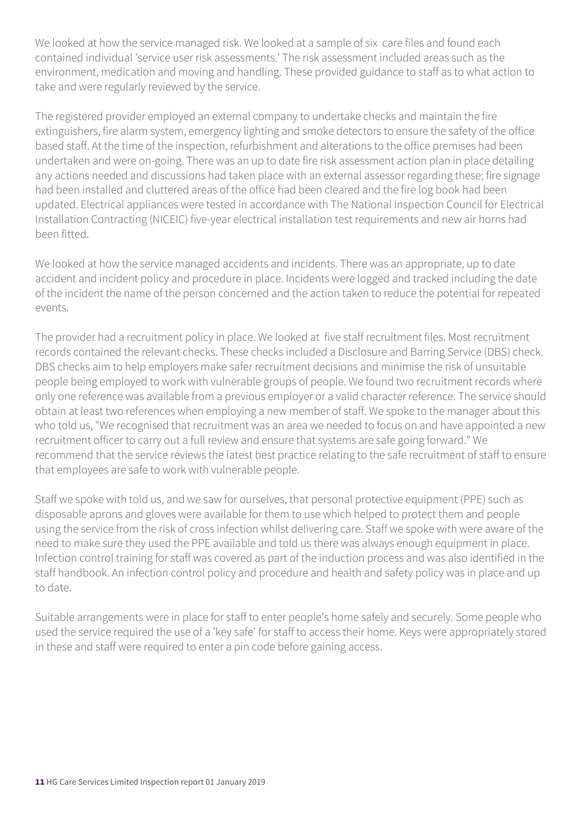We looked at how the service managed risk. We looked at a sample of six care files and found each contained individual 'service user risk assessments.' The risk assessment included areas such as the environment, medication and moving and handling. These provided guidance to staff as to what action to take and were regularly reviewed by the service.

The registered provider employed an external company to undertake checks and maintain the fire extinguishers, fire alarm system, emergency lighting and smoke detectors to ensure the safety of the office based staff. At the time of the inspection, refurbishment and alterations to the office premises had been undertaken and were on-going. There was an up to date fire risk assessment action plan in place detailing any actions needed and discussions had taken place with an external assessor regarding these; fire signage had been installed and cluttered areas of the office had been cleared and the fire log book had been updated. Electrical appliances were tested in accordance with The National Inspection Council for Electrical Installation Contracting (NICEIC) five-year electrical installation test requirements and new air horns had been fitted.

We looked at how the service managed accidents and incidents. There was an appropriate, up to date accident and incident policy and procedure in place. Incidents were logged and tracked including the date of the incident the name of the person concerned and the action taken to reduce the potential for repeated events.

The provider had a recruitment policy in place. We looked at five staff recruitment files. Most recruitment records contained the relevant checks. These checks included a Disclosure and Barring Service (DBS) check. DBS checks aim to help employers make safer recruitment decisions and minimise the risk of unsuitable people being employed to work with vulnerable groups of people. We found two recruitment records where only one reference was available from a previous employer or a valid character reference. The service should obtain at least two references when employing a new member of staff. We spoke to the manager about this who told us, "We recognised that recruitment was an area we needed to focus on and have appointed a new recruitment officer to carry out a full review and ensure that systems are safe going forward." We recommend that the service reviews the latest best practice relating to the safe recruitment of staff to ensure that employees are safe to work with vulnerable people.

Staff we spoke with told us, and we saw for ourselves, that personal protective equipment (PPE) such as disposable aprons and gloves were available for them to use which helped to protect them and people using the service from the risk of cross infection whilst delivering care. Staff we spoke with were aware of the need to make sure they used the PPE available and told us there was always enough equipment in place. Infection control training for staff was covered as part of the induction process and was also identified in the staff handbook. An infection control policy and procedure and health and safety policy was in place and up to date.

Suitable arrangements were in place for staff to enter people's home safely and securely. Some people who used the service required the use of a 'key safe' for staff to access their home. Keys were appropriately stored in these and staff were required to enter a pin code before gaining access.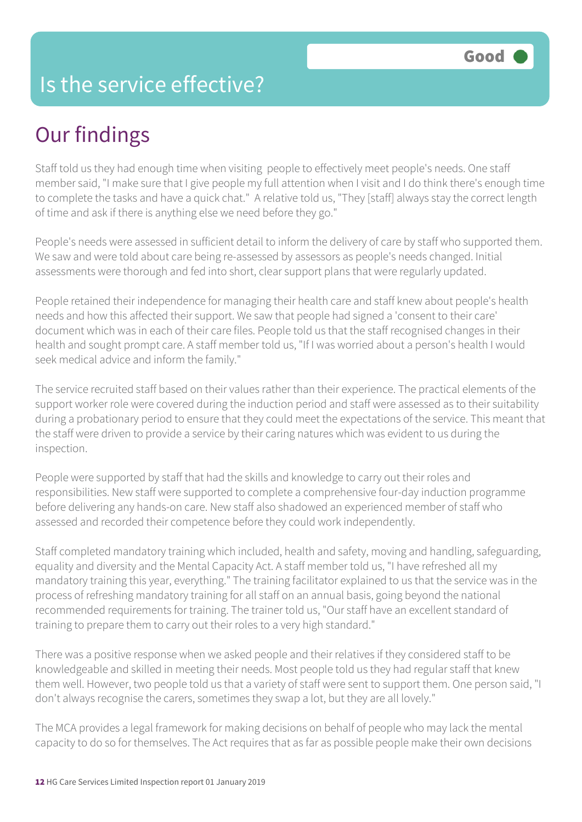### Is the service effective?

# Our findings

Staff told us they had enough time when visiting people to effectively meet people's needs. One staff member said, "I make sure that I give people my full attention when I visit and I do think there's enough time to complete the tasks and have a quick chat." A relative told us, "They [staff] always stay the correct length of time and ask if there is anything else we need before they go."

People's needs were assessed in sufficient detail to inform the delivery of care by staff who supported them. We saw and were told about care being re-assessed by assessors as people's needs changed. Initial assessments were thorough and fed into short, clear support plans that were regularly updated.

People retained their independence for managing their health care and staff knew about people's health needs and how this affected their support. We saw that people had signed a 'consent to their care' document which was in each of their care files. People told us that the staff recognised changes in their health and sought prompt care. A staff member told us, "If I was worried about a person's health I would seek medical advice and inform the family."

The service recruited staff based on their values rather than their experience. The practical elements of the support worker role were covered during the induction period and staff were assessed as to their suitability during a probationary period to ensure that they could meet the expectations of the service. This meant that the staff were driven to provide a service by their caring natures which was evident to us during the inspection.

People were supported by staff that had the skills and knowledge to carry out their roles and responsibilities. New staff were supported to complete a comprehensive four-day induction programme before delivering any hands-on care. New staff also shadowed an experienced member of staff who assessed and recorded their competence before they could work independently.

Staff completed mandatory training which included, health and safety, moving and handling, safeguarding, equality and diversity and the Mental Capacity Act. A staff member told us, "I have refreshed all my mandatory training this year, everything." The training facilitator explained to us that the service was in the process of refreshing mandatory training for all staff on an annual basis, going beyond the national recommended requirements for training. The trainer told us, "Our staff have an excellent standard of training to prepare them to carry out their roles to a very high standard."

There was a positive response when we asked people and their relatives if they considered staff to be knowledgeable and skilled in meeting their needs. Most people told us they had regular staff that knew them well. However, two people told us that a variety of staff were sent to support them. One person said, "I don't always recognise the carers, sometimes they swap a lot, but they are all lovely."

The MCA provides a legal framework for making decisions on behalf of people who may lack the mental capacity to do so for themselves. The Act requires that as far as possible people make their own decisions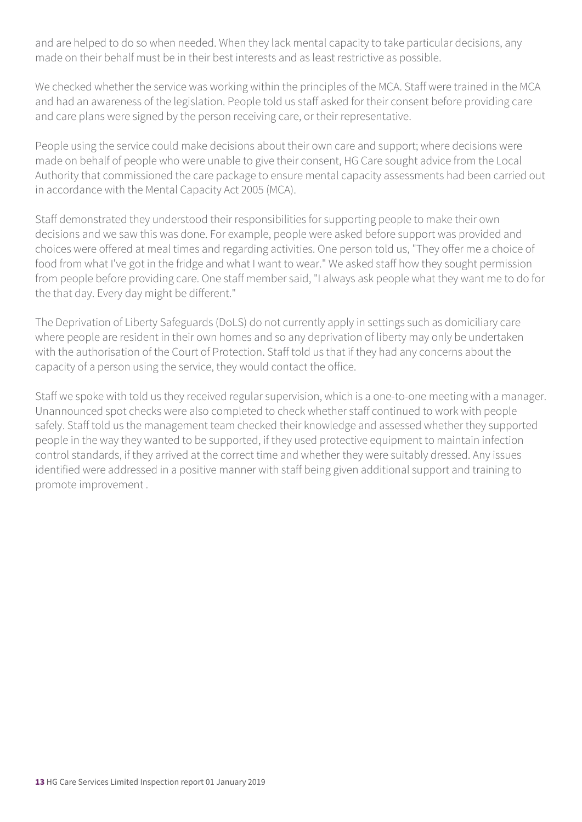and are helped to do so when needed. When they lack mental capacity to take particular decisions, any made on their behalf must be in their best interests and as least restrictive as possible.

We checked whether the service was working within the principles of the MCA. Staff were trained in the MCA and had an awareness of the legislation. People told us staff asked for their consent before providing care and care plans were signed by the person receiving care, or their representative.

People using the service could make decisions about their own care and support; where decisions were made on behalf of people who were unable to give their consent, HG Care sought advice from the Local Authority that commissioned the care package to ensure mental capacity assessments had been carried out in accordance with the Mental Capacity Act 2005 (MCA).

Staff demonstrated they understood their responsibilities for supporting people to make their own decisions and we saw this was done. For example, people were asked before support was provided and choices were offered at meal times and regarding activities. One person told us, "They offer me a choice of food from what I've got in the fridge and what I want to wear." We asked staff how they sought permission from people before providing care. One staff member said, "I always ask people what they want me to do for the that day. Every day might be different."

The Deprivation of Liberty Safeguards (DoLS) do not currently apply in settings such as domiciliary care where people are resident in their own homes and so any deprivation of liberty may only be undertaken with the authorisation of the Court of Protection. Staff told us that if they had any concerns about the capacity of a person using the service, they would contact the office.

Staff we spoke with told us they received regular supervision, which is a one-to-one meeting with a manager. Unannounced spot checks were also completed to check whether staff continued to work with people safely. Staff told us the management team checked their knowledge and assessed whether they supported people in the way they wanted to be supported, if they used protective equipment to maintain infection control standards, if they arrived at the correct time and whether they were suitably dressed. Any issues identified were addressed in a positive manner with staff being given additional support and training to promote improvement .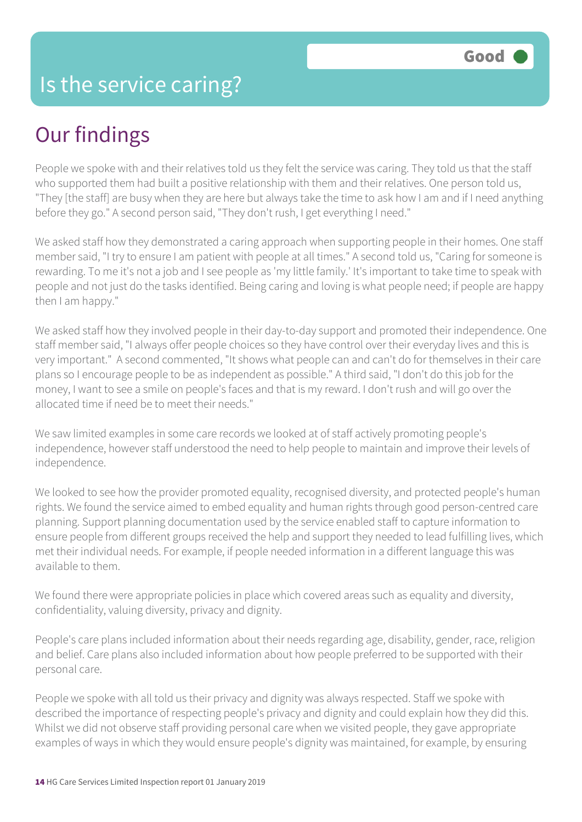# Our findings

People we spoke with and their relatives told us they felt the service was caring. They told us that the staff who supported them had built a positive relationship with them and their relatives. One person told us, "They [the staff] are busy when they are here but always take the time to ask how I am and if I need anything before they go." A second person said, "They don't rush, I get everything I need."

We asked staff how they demonstrated a caring approach when supporting people in their homes. One staff member said, "I try to ensure I am patient with people at all times." A second told us, "Caring for someone is rewarding. To me it's not a job and I see people as 'my little family.' It's important to take time to speak with people and not just do the tasks identified. Being caring and loving is what people need; if people are happy then I am happy."

We asked staff how they involved people in their day-to-day support and promoted their independence. One staff member said, "I always offer people choices so they have control over their everyday lives and this is very important." A second commented, "It shows what people can and can't do for themselves in their care plans so I encourage people to be as independent as possible." A third said, "I don't do this job for the money, I want to see a smile on people's faces and that is my reward. I don't rush and will go over the allocated time if need be to meet their needs."

We saw limited examples in some care records we looked at of staff actively promoting people's independence, however staff understood the need to help people to maintain and improve their levels of independence.

We looked to see how the provider promoted equality, recognised diversity, and protected people's human rights. We found the service aimed to embed equality and human rights through good person-centred care planning. Support planning documentation used by the service enabled staff to capture information to ensure people from different groups received the help and support they needed to lead fulfilling lives, which met their individual needs. For example, if people needed information in a different language this was available to them.

We found there were appropriate policies in place which covered areas such as equality and diversity, confidentiality, valuing diversity, privacy and dignity.

People's care plans included information about their needs regarding age, disability, gender, race, religion and belief. Care plans also included information about how people preferred to be supported with their personal care.

People we spoke with all told us their privacy and dignity was always respected. Staff we spoke with described the importance of respecting people's privacy and dignity and could explain how they did this. Whilst we did not observe staff providing personal care when we visited people, they gave appropriate examples of ways in which they would ensure people's dignity was maintained, for example, by ensuring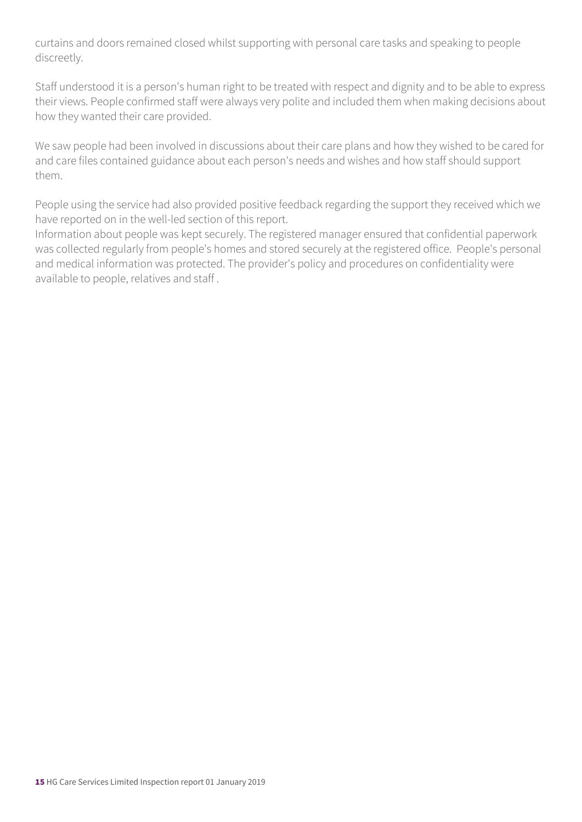curtains and doors remained closed whilst supporting with personal care tasks and speaking to people discreetly.

Staff understood it is a person's human right to be treated with respect and dignity and to be able to express their views. People confirmed staff were always very polite and included them when making decisions about how they wanted their care provided.

We saw people had been involved in discussions about their care plans and how they wished to be cared for and care files contained guidance about each person's needs and wishes and how staff should support them.

People using the service had also provided positive feedback regarding the support they received which we have reported on in the well-led section of this report.

Information about people was kept securely. The registered manager ensured that confidential paperwork was collected regularly from people's homes and stored securely at the registered office. People's personal and medical information was protected. The provider's policy and procedures on confidentiality were available to people, relatives and staff .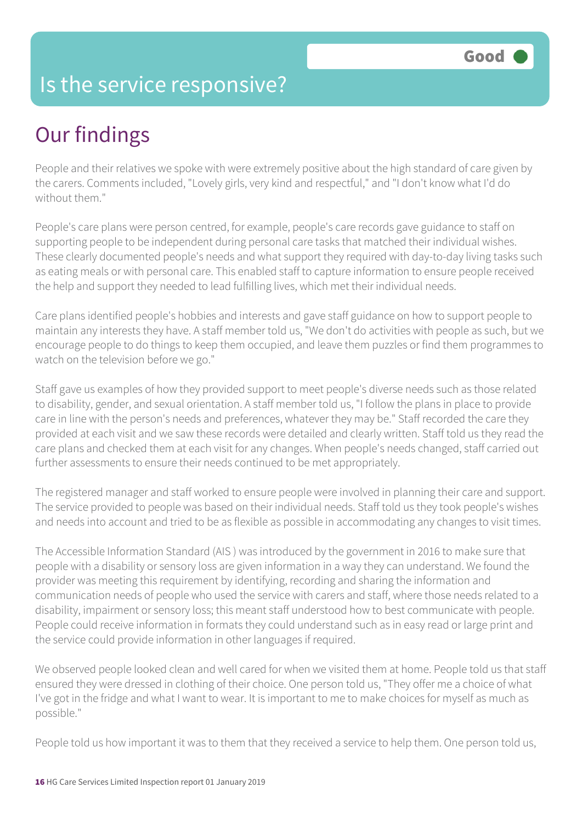### Is the service responsive?

# Our findings

People and their relatives we spoke with were extremely positive about the high standard of care given by the carers. Comments included, "Lovely girls, very kind and respectful," and "I don't know what I'd do without them."

People's care plans were person centred, for example, people's care records gave guidance to staff on supporting people to be independent during personal care tasks that matched their individual wishes. These clearly documented people's needs and what support they required with day-to-day living tasks such as eating meals or with personal care. This enabled staff to capture information to ensure people received the help and support they needed to lead fulfilling lives, which met their individual needs.

Care plans identified people's hobbies and interests and gave staff guidance on how to support people to maintain any interests they have. A staff member told us, "We don't do activities with people as such, but we encourage people to do things to keep them occupied, and leave them puzzles or find them programmes to watch on the television before we go."

Staff gave us examples of how they provided support to meet people's diverse needs such as those related to disability, gender, and sexual orientation. A staff member told us, "I follow the plans in place to provide care in line with the person's needs and preferences, whatever they may be." Staff recorded the care they provided at each visit and we saw these records were detailed and clearly written. Staff told us they read the care plans and checked them at each visit for any changes. When people's needs changed, staff carried out further assessments to ensure their needs continued to be met appropriately.

The registered manager and staff worked to ensure people were involved in planning their care and support. The service provided to people was based on their individual needs. Staff told us they took people's wishes and needs into account and tried to be as flexible as possible in accommodating any changes to visit times.

The Accessible Information Standard (AIS ) was introduced by the government in 2016 to make sure that people with a disability or sensory loss are given information in a way they can understand. We found the provider was meeting this requirement by identifying, recording and sharing the information and communication needs of people who used the service with carers and staff, where those needs related to a disability, impairment or sensory loss; this meant staff understood how to best communicate with people. People could receive information in formats they could understand such as in easy read or large print and the service could provide information in other languages if required.

We observed people looked clean and well cared for when we visited them at home. People told us that staff ensured they were dressed in clothing of their choice. One person told us, "They offer me a choice of what I've got in the fridge and what I want to wear. It is important to me to make choices for myself as much as possible."

People told us how important it was to them that they received a service to help them. One person told us,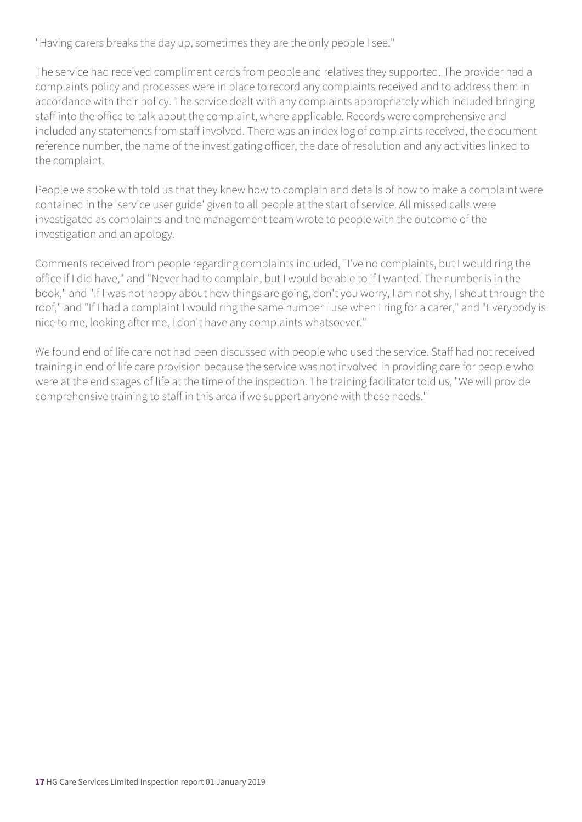"Having carers breaks the day up, sometimes they are the only people I see."

The service had received compliment cards from people and relatives they supported. The provider had a complaints policy and processes were in place to record any complaints received and to address them in accordance with their policy. The service dealt with any complaints appropriately which included bringing staff into the office to talk about the complaint, where applicable. Records were comprehensive and included any statements from staff involved. There was an index log of complaints received, the document reference number, the name of the investigating officer, the date of resolution and any activities linked to the complaint.

People we spoke with told us that they knew how to complain and details of how to make a complaint were contained in the 'service user guide' given to all people at the start of service. All missed calls were investigated as complaints and the management team wrote to people with the outcome of the investigation and an apology.

Comments received from people regarding complaints included, "I've no complaints, but I would ring the office if I did have," and "Never had to complain, but I would be able to if I wanted. The number is in the book," and "If I was not happy about how things are going, don't you worry, I am not shy, I shout through the roof," and "If I had a complaint I would ring the same number I use when I ring for a carer," and "Everybody is nice to me, looking after me, I don't have any complaints whatsoever."

We found end of life care not had been discussed with people who used the service. Staff had not received training in end of life care provision because the service was not involved in providing care for people who were at the end stages of life at the time of the inspection. The training facilitator told us, "We will provide comprehensive training to staff in this area if we support anyone with these needs."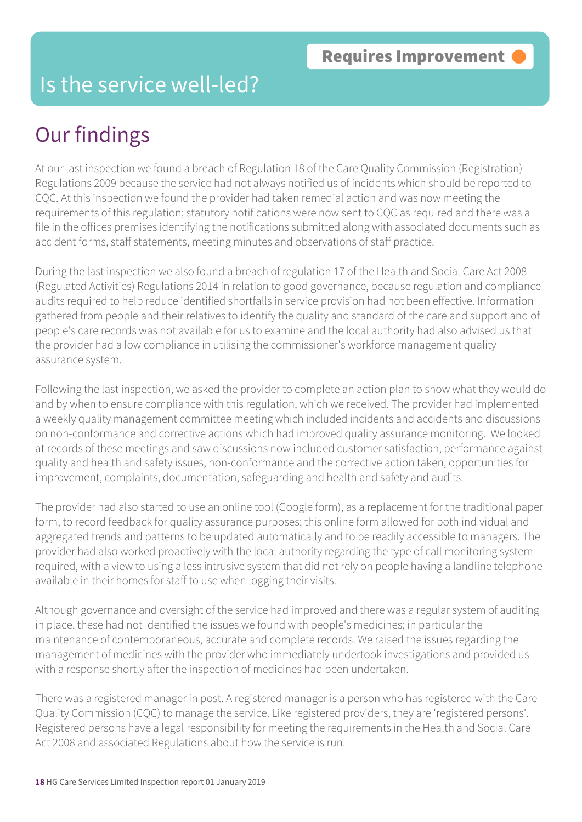#### Is the service well-led?

# Our findings

At our last inspection we found a breach of Regulation 18 of the Care Quality Commission (Registration) Regulations 2009 because the service had not always notified us of incidents which should be reported to CQC. At this inspection we found the provider had taken remedial action and was now meeting the requirements of this regulation; statutory notifications were now sent to CQC as required and there was a file in the offices premises identifying the notifications submitted along with associated documents such as accident forms, staff statements, meeting minutes and observations of staff practice.

During the last inspection we also found a breach of regulation 17 of the Health and Social Care Act 2008 (Regulated Activities) Regulations 2014 in relation to good governance, because regulation and compliance audits required to help reduce identified shortfalls in service provision had not been effective. Information gathered from people and their relatives to identify the quality and standard of the care and support and of people's care records was not available for us to examine and the local authority had also advised us that the provider had a low compliance in utilising the commissioner's workforce management quality assurance system.

Following the last inspection, we asked the provider to complete an action plan to show what they would do and by when to ensure compliance with this regulation, which we received. The provider had implemented a weekly quality management committee meeting which included incidents and accidents and discussions on non-conformance and corrective actions which had improved quality assurance monitoring. We looked at records of these meetings and saw discussions now included customer satisfaction, performance against quality and health and safety issues, non-conformance and the corrective action taken, opportunities for improvement, complaints, documentation, safeguarding and health and safety and audits.

The provider had also started to use an online tool (Google form), as a replacement for the traditional paper form, to record feedback for quality assurance purposes; this online form allowed for both individual and aggregated trends and patterns to be updated automatically and to be readily accessible to managers. The provider had also worked proactively with the local authority regarding the type of call monitoring system required, with a view to using a less intrusive system that did not rely on people having a landline telephone available in their homes for staff to use when logging their visits.

Although governance and oversight of the service had improved and there was a regular system of auditing in place, these had not identified the issues we found with people's medicines; in particular the maintenance of contemporaneous, accurate and complete records. We raised the issues regarding the management of medicines with the provider who immediately undertook investigations and provided us with a response shortly after the inspection of medicines had been undertaken.

There was a registered manager in post. A registered manager is a person who has registered with the Care Quality Commission (CQC) to manage the service. Like registered providers, they are 'registered persons'. Registered persons have a legal responsibility for meeting the requirements in the Health and Social Care Act 2008 and associated Regulations about how the service is run.